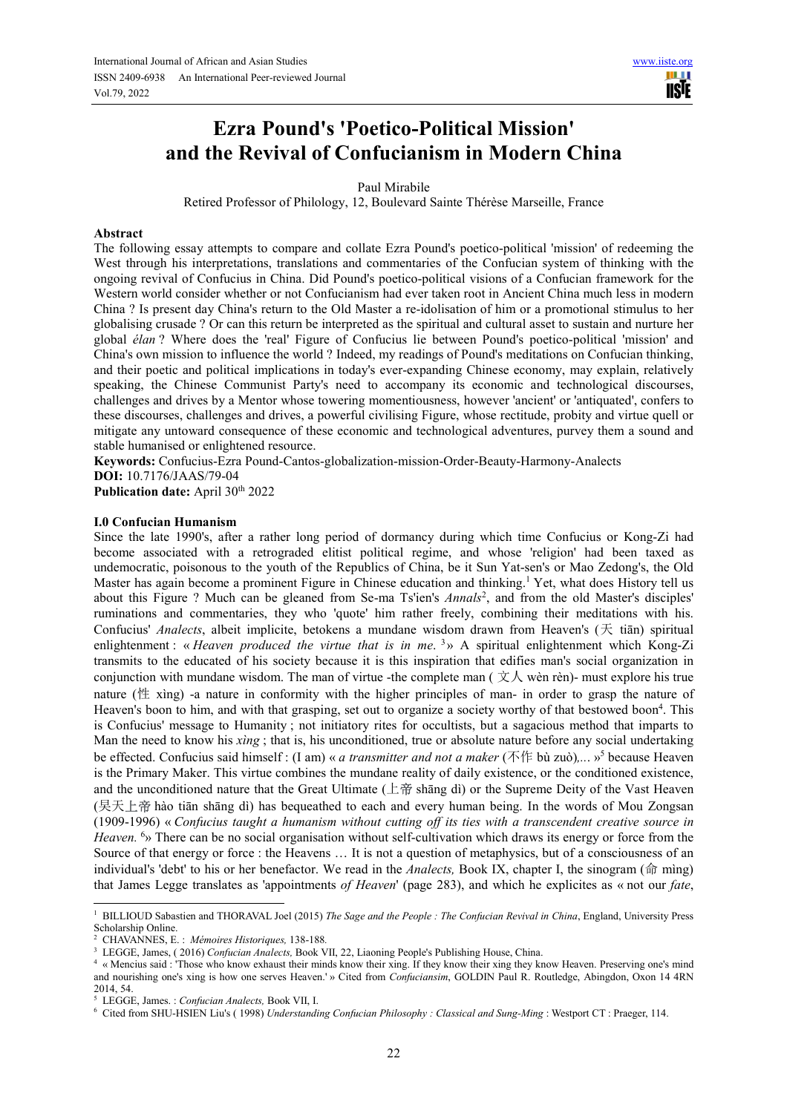# **Ezra Pound's 'Poetico-Political Mission' and the Revival of Confucianism in Modern China**

# Paul Mirabile

Retired Professor of Philology, 12, Boulevard Sainte Thérèse Marseille, France

## **Abstract**

The following essay attempts to compare and collate Ezra Pound's poetico-political 'mission' of redeeming the West through his interpretations, translations and commentaries of the Confucian system of thinking with the ongoing revival of Confucius in China. Did Pound's poetico-political visions of a Confucian framework for the Western world consider whether or not Confucianism had ever taken root in Ancient China much less in modern China ? Is present day China's return to the Old Master a re-idolisation of him or a promotional stimulus to her globalising crusade ? Or can this return be interpreted as the spiritual and cultural asset to sustain and nurture her global *élan* ? Where does the 'real' Figure of Confucius lie between Pound's poetico-political 'mission' and China's own mission to influence the world ? Indeed, my readings of Pound's meditations on Confucian thinking, and their poetic and political implications in today's ever-expanding Chinese economy, may explain, relatively speaking, the Chinese Communist Party's need to accompany its economic and technological discourses, challenges and drives by a Mentor whose towering momentiousness, however 'ancient' or 'antiquated', confers to these discourses, challenges and drives, a powerful civilising Figure, whose rectitude, probity and virtue quell or mitigate any untoward consequence of these economic and technological adventures, purvey them a sound and stable humanised or enlightened resource.

**Keywords:** Confucius-Ezra Pound-Cantos-globalization-mission-Order-Beauty-Harmony-Analects **DOI:** 10.7176/JAAS/79-04

Publication date: April 30<sup>th</sup> 2022

#### **I.0 Confucian Humanism**

Since the late 1990's, after a rather long period of dormancy during which time Confucius or Kong-Zi had become associated with a retrograded elitist political regime, and whose 'religion' had been taxed as undemocratic, poisonous to the youth of the Republics of China, be it Sun Yat-sen's or Mao Zedong's, the Old Master has again become a prominent Figure in Chinese education and thinking.<sup>1</sup> Yet, what does History tell us about this Figure ? Much can be gleaned from Se-ma Ts'ien's *Annals*<sup>2</sup> , and from the old Master's disciples' ruminations and commentaries, they who 'quote' him rather freely, combining their meditations with his. Confucius' *Analects*, albeit implicite, betokens a mundane wisdom drawn from Heaven's (天 tiān) spiritual enlightenment : « *Heaven produced the virtue that is in me*. <sup>3</sup> » A spiritual enlightenment which Kong-Zi transmits to the educated of his society because it is this inspiration that edifies man's social organization in conjunction with mundane wisdom. The man of virtue -the complete man ( $\chi \Lambda$  wèn rèn)- must explore his true nature (性 xìng) -a nature in conformity with the higher principles of man- in order to grasp the nature of Heaven's boon to him, and with that grasping, set out to organize a society worthy of that bestowed boon<sup>4</sup>. This is Confucius' message to Humanity ; not initiatory rites for occultists, but a sagacious method that imparts to Man the need to know his *xìng* ; that is, his unconditioned, true or absolute nature before any social undertaking be effected. Confucius said himself : (I am) « *a transmitter and not a maker* (不作 bù zuò),... »<sup>5</sup> because Heaven is the Primary Maker. This virtue combines the mundane reality of daily existence, or the conditioned existence, and the unconditioned nature that the Great Ultimate (上帝 shāng dì) or the Supreme Deity of the Vast Heaven (旲天上帝 hào tiān shāng dì) has bequeathed to each and every human being. In the words of Mou Zongsan (1909-1996) « *Confucius taught a humanism without cutting off its ties with a transcendent creative source in Heaven.* <sup>6</sup>» There can be no social organisation without self-cultivation which draws its energy or force from the Source of that energy or force : the Heavens … It is not a question of metaphysics, but of a consciousness of an individual's 'debt' to his or her benefactor. We read in the *Analects,* Book IX, chapter I, the sinogram (命 mìng) that James Legge translates as 'appointments *of Heaven*' (page 283), and which he explicites as « not our *fate*,

 $\overline{a}$ <sup>1</sup> BILLIOUD Sabastien and THORAVAL Joel (2015) *The Sage and the People : The Confucian Revival in China*, England, University Press Scholarship Online.

<sup>2</sup> CHAVANNES, E. : *Mémoires Historiques,* 138-188*.*

<sup>3</sup> LEGGE, James, ( 2016) *Confucian Analects,* Book VII, 22, Liaoning People's Publishing House, China.

<sup>4</sup> « Mencius said : 'Those who know exhaust their minds know their xing. If they know their xing they know Heaven. Preserving one's mind and nourishing one's xing is how one serves Heaven.' » Cited from *Confuciansim*, GOLDIN Paul R. Routledge, Abingdon, Oxon 14 4RN 2014, 54.

<sup>5</sup> LEGGE, James. : *Confucian Analects,* Book VII, I.

<sup>6</sup> Cited from SHU-HSIEN Liu's ( 1998) *Understanding Confucian Philosophy : Classical and Sung-Ming* : Westport CT : Praeger, 114.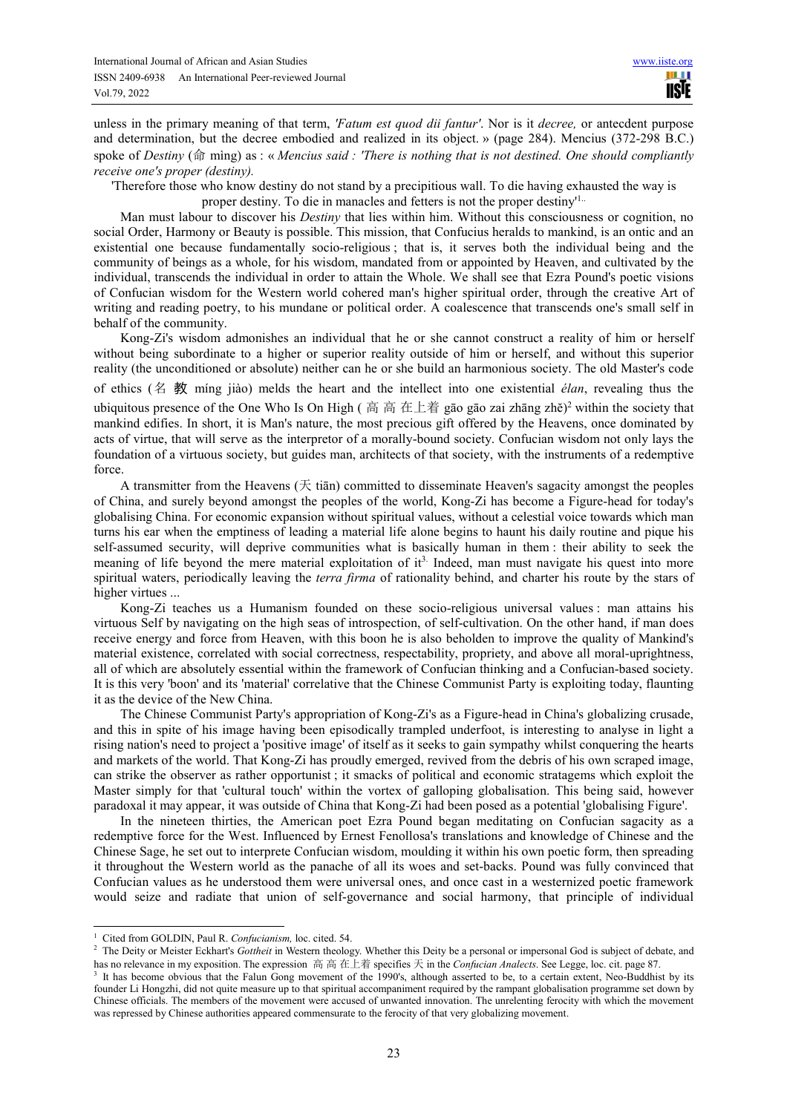unless in the primary meaning of that term, *'Fatum est quod dii fantur'*. Nor is it *decree,* or antecdent purpose and determination, but the decree embodied and realized in its object. » (page 284). Mencius (372-298 B.C.) spoke of *Destiny* (命 mìng) as : « *Mencius said : 'There is nothing that is not destined. One should compliantly receive one's proper (destiny).* 

'Therefore those who know destiny do not stand by a precipitious wall. To die having exhausted the way is

proper destiny. To die in manacles and fetters is not the proper destiny'1..

Man must labour to discover his *Destiny* that lies within him. Without this consciousness or cognition, no social Order, Harmony or Beauty is possible. This mission, that Confucius heralds to mankind, is an ontic and an existential one because fundamentally socio-religious ; that is, it serves both the individual being and the community of beings as a whole, for his wisdom, mandated from or appointed by Heaven, and cultivated by the individual, transcends the individual in order to attain the Whole. We shall see that Ezra Pound's poetic visions of Confucian wisdom for the Western world cohered man's higher spiritual order, through the creative Art of writing and reading poetry, to his mundane or political order. A coalescence that transcends one's small self in behalf of the community.

Kong-Zi's wisdom admonishes an individual that he or she cannot construct a reality of him or herself without being subordinate to a higher or superior reality outside of him or herself, and without this superior reality (the unconditioned or absolute) neither can he or she build an harmonious society. The old Master's code

of ethics (名 教 míng jiào) melds the heart and the intellect into one existential *élan*, revealing thus the ubiquitous presence of the One Who Is On High ( 高 高 在上着 gāo gāo zai zhāng zhě)<sup>2</sup> within the society that mankind edifies. In short, it is Man's nature, the most precious gift offered by the Heavens, once dominated by acts of virtue, that will serve as the interpretor of a morally-bound society. Confucian wisdom not only lays the foundation of a virtuous society, but guides man, architects of that society, with the instruments of a redemptive force.

A transmitter from the Heavens  $(\pm \text{ tian})$  committed to disseminate Heaven's sagacity amongst the peoples of China, and surely beyond amongst the peoples of the world, Kong-Zi has become a Figure-head for today's globalising China. For economic expansion without spiritual values, without a celestial voice towards which man turns his ear when the emptiness of leading a material life alone begins to haunt his daily routine and pique his self-assumed security, will deprive communities what is basically human in them : their ability to seek the meaning of life beyond the mere material exploitation of it<sup>3.</sup> Indeed, man must navigate his quest into more spiritual waters, periodically leaving the *terra firma* of rationality behind, and charter his route by the stars of higher virtues ...

Kong-Zi teaches us a Humanism founded on these socio-religious universal values : man attains his virtuous Self by navigating on the high seas of introspection, of self-cultivation. On the other hand, if man does receive energy and force from Heaven, with this boon he is also beholden to improve the quality of Mankind's material existence, correlated with social correctness, respectability, propriety, and above all moral-uprightness, all of which are absolutely essential within the framework of Confucian thinking and a Confucian-based society. It is this very 'boon' and its 'material' correlative that the Chinese Communist Party is exploiting today, flaunting it as the device of the New China.

The Chinese Communist Party's appropriation of Kong-Zi's as a Figure-head in China's globalizing crusade, and this in spite of his image having been episodically trampled underfoot, is interesting to analyse in light a rising nation's need to project a 'positive image' of itself as it seeks to gain sympathy whilst conquering the hearts and markets of the world. That Kong-Zi has proudly emerged, revived from the debris of his own scraped image, can strike the observer as rather opportunist ; it smacks of political and economic stratagems which exploit the Master simply for that 'cultural touch' within the vortex of galloping globalisation. This being said, however paradoxal it may appear, it was outside of China that Kong-Zi had been posed as a potential 'globalising Figure'.

In the nineteen thirties, the American poet Ezra Pound began meditating on Confucian sagacity as a redemptive force for the West. Influenced by Ernest Fenollosa's translations and knowledge of Chinese and the Chinese Sage, he set out to interprete Confucian wisdom, moulding it within his own poetic form, then spreading it throughout the Western world as the panache of all its woes and set-backs. Pound was fully convinced that Confucian values as he understood them were universal ones, and once cast in a westernized poetic framework would seize and radiate that union of self-governance and social harmony, that principle of individual

<sup>&</sup>lt;sup>1</sup> Cited from GOLDIN, Paul R. *Confucianism*, loc. cited. 54.

<sup>&</sup>lt;sup>2</sup> The Deity or Meister Eckhart's *Gottheit* in Western theology. Whether this Deity be a personal or impersonal God is subject of debate, and has no relevance in my exposition. The expression 高 高 在上着 specifies 天 in the *Confucian Analects*. See Legge, loc. cit. page 87.

<sup>&</sup>lt;sup>3</sup> It has become obvious that the Falun Gong movement of the 1990's, although asserted to be, to a certain extent, Neo-Buddhist by its founder Li Hongzhi, did not quite measure up to that spiritual accompaniment required by the rampant globalisation programme set down by Chinese officials. The members of the movement were accused of unwanted innovation. The unrelenting ferocity with which the movement was repressed by Chinese authorities appeared commensurate to the ferocity of that very globalizing movement.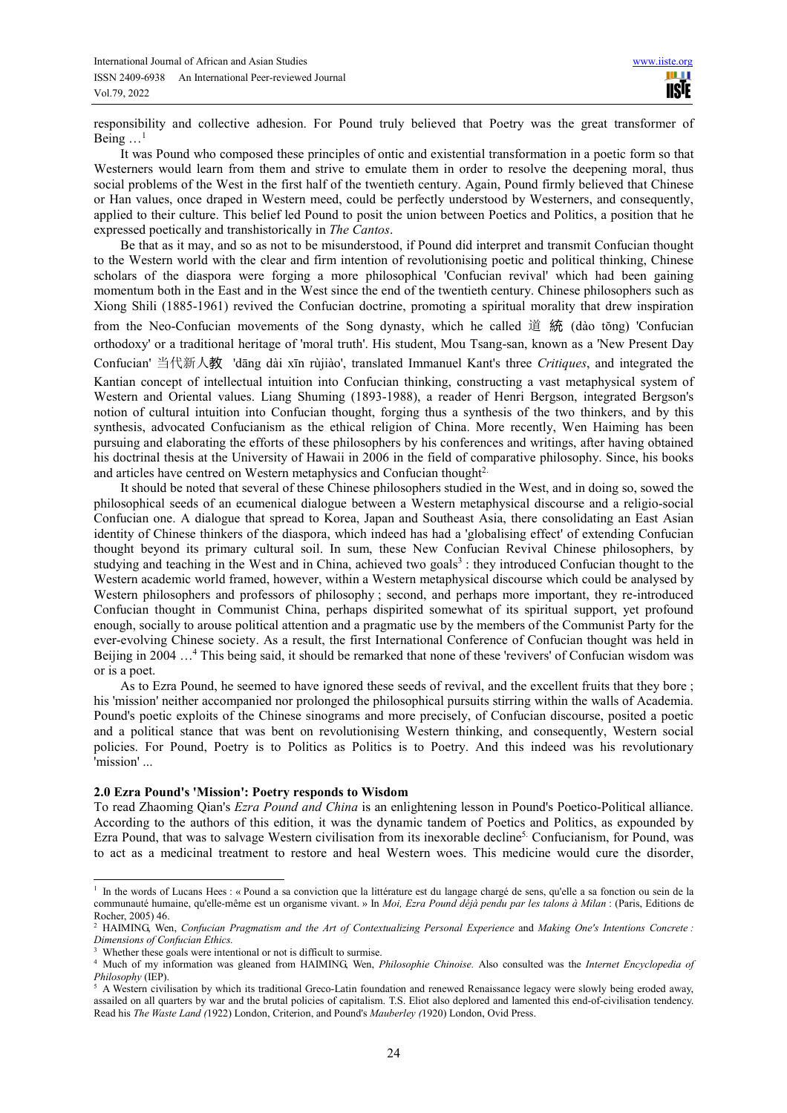responsibility and collective adhesion. For Pound truly believed that Poetry was the great transformer of Being  $\dots$ <sup>1</sup>

It was Pound who composed these principles of ontic and existential transformation in a poetic form so that Westerners would learn from them and strive to emulate them in order to resolve the deepening moral, thus social problems of the West in the first half of the twentieth century. Again, Pound firmly believed that Chinese or Han values, once draped in Western meed, could be perfectly understood by Westerners, and consequently, applied to their culture. This belief led Pound to posit the union between Poetics and Politics, a position that he expressed poetically and transhistorically in *The Cantos*.

Be that as it may, and so as not to be misunderstood, if Pound did interpret and transmit Confucian thought to the Western world with the clear and firm intention of revolutionising poetic and political thinking, Chinese scholars of the diaspora were forging a more philosophical 'Confucian revival' which had been gaining momentum both in the East and in the West since the end of the twentieth century. Chinese philosophers such as Xiong Shili (1885-1961) revived the Confucian doctrine, promoting a spiritual morality that drew inspiration

from the Neo-Confucian movements of the Song dynasty, which he called 道 統 (dào tŏng) 'Confucian orthodoxy' or a traditional heritage of 'moral truth'. His student, Mou Tsang-san, known as a 'New Present Day

Confucian' 当代新人教 'dāng dài xīn rùjiào', translated Immanuel Kant's three *Critiques*, and integrated the

Kantian concept of intellectual intuition into Confucian thinking, constructing a vast metaphysical system of Western and Oriental values. Liang Shuming (1893-1988), a reader of Henri Bergson, integrated Bergson's notion of cultural intuition into Confucian thought, forging thus a synthesis of the two thinkers, and by this synthesis, advocated Confucianism as the ethical religion of China. More recently, Wen Haiming has been pursuing and elaborating the efforts of these philosophers by his conferences and writings, after having obtained his doctrinal thesis at the University of Hawaii in 2006 in the field of comparative philosophy. Since, his books and articles have centred on Western metaphysics and Confucian thought<sup>2.</sup>

It should be noted that several of these Chinese philosophers studied in the West, and in doing so, sowed the philosophical seeds of an ecumenical dialogue between a Western metaphysical discourse and a religio-social Confucian one. A dialogue that spread to Korea, Japan and Southeast Asia, there consolidating an East Asian identity of Chinese thinkers of the diaspora, which indeed has had a 'globalising effect' of extending Confucian thought beyond its primary cultural soil. In sum, these New Confucian Revival Chinese philosophers, by studying and teaching in the West and in China, achieved two goals<sup>3</sup>: they introduced Confucian thought to the Western academic world framed, however, within a Western metaphysical discourse which could be analysed by Western philosophers and professors of philosophy ; second, and perhaps more important, they re-introduced Confucian thought in Communist China, perhaps dispirited somewhat of its spiritual support, yet profound enough, socially to arouse political attention and a pragmatic use by the members of the Communist Party for the ever-evolving Chinese society. As a result, the first International Conference of Confucian thought was held in Beijing in 2004 ...<sup>4</sup> This being said, it should be remarked that none of these 'revivers' of Confucian wisdom was or is a poet.

As to Ezra Pound, he seemed to have ignored these seeds of revival, and the excellent fruits that they bore ; his 'mission' neither accompanied nor prolonged the philosophical pursuits stirring within the walls of Academia. Pound's poetic exploits of the Chinese sinograms and more precisely, of Confucian discourse, posited a poetic and a political stance that was bent on revolutionising Western thinking, and consequently, Western social policies. For Pound, Poetry is to Politics as Politics is to Poetry. And this indeed was his revolutionary 'mission' ...

#### **2.0 Ezra Pound's 'Mission': Poetry responds to Wisdom**

To read Zhaoming Qian's *Ezra Pound and China* is an enlightening lesson in Pound's Poetico-Political alliance. According to the authors of this edition, it was the dynamic tandem of Poetics and Politics, as expounded by Ezra Pound, that was to salvage Western civilisation from its inexorable decline<sup>5.</sup> Confucianism, for Pound, was to act as a medicinal treatment to restore and heal Western woes. This medicine would cure the disorder,

 1 In the words of Lucans Hees : « Pound a sa conviction que la littérature est du langage chargé de sens, qu'elle a sa fonction ou sein de la communauté humaine, qu'elle-même est un organisme vivant. » In *Moi, Ezra Pound déjà pendu par les talons à Milan* : (Paris, Editions de Rocher, 2005) 46.

<sup>2</sup> HAIMING, Wen, *Confucian Pragmatism and the Art of Contextualizing Personal Experience* and *Making One's Intentions Concrete : Dimensions of Confucian Ethics.*

Whether these goals were intentional or not is difficult to surmise.

<sup>4</sup> Much of my information was gleaned from HAIMING, Wen, *Philosophie Chinoise.* Also consulted was the *Internet Encyclopedia of Philosophy* (IEP).

<sup>&</sup>lt;sup>5</sup> A Western civilisation by which its traditional Greco-Latin foundation and renewed Renaissance legacy were slowly being eroded away, assailed on all quarters by war and the brutal policies of capitalism. T.S. Eliot also deplored and lamented this end-of-civilisation tendency. Read his *The Waste Land (*1922) London, Criterion, and Pound's *Mauberley (*1920) London, Ovid Press.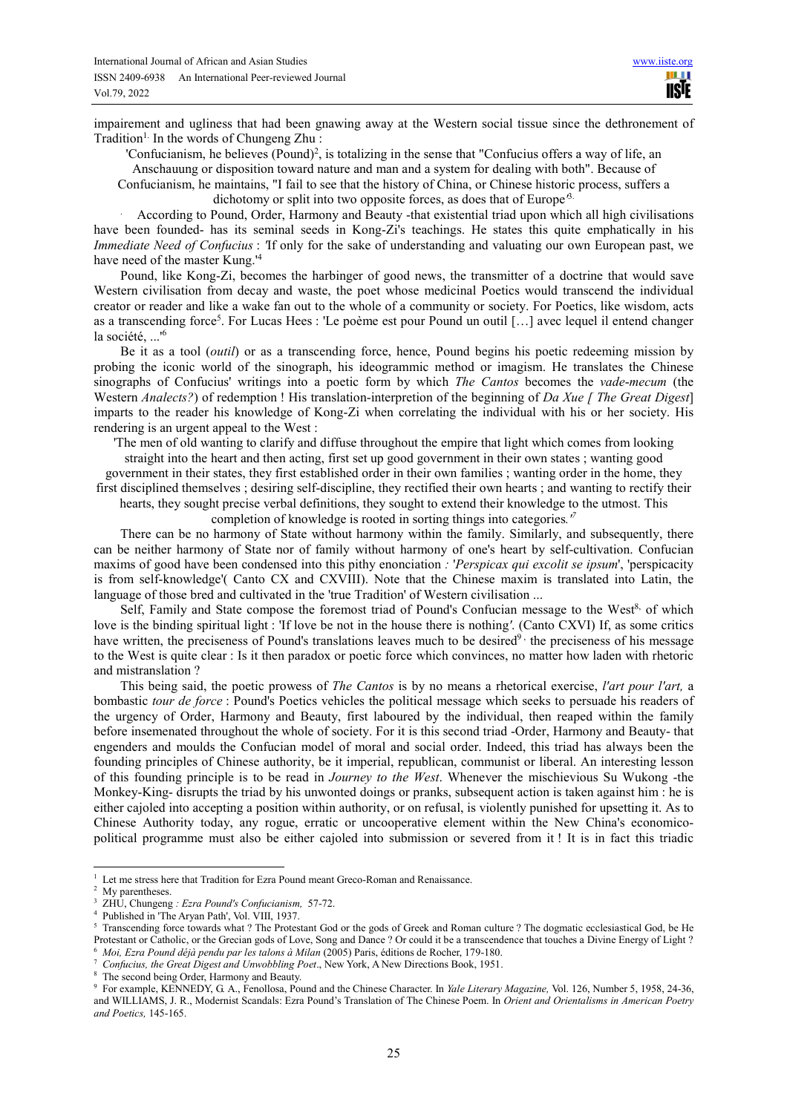**TELE IISIE** 

impairement and ugliness that had been gnawing away at the Western social tissue since the dethronement of Tradition<sup>1.</sup> In the words of Chungeng Zhu :

'Confucianism, he believes (Pound)<sup>2</sup>, is totalizing in the sense that "Confucius offers a way of life, an

Anschauung or disposition toward nature and man and a system for dealing with both". Because of

Confucianism, he maintains, "I fail to see that the history of China, or Chinese historic process, suffers a dichotomy or split into two opposite forces, as does that of Europe*'* 3.

. According to Pound, Order, Harmony and Beauty -that existential triad upon which all high civilisations have been founded- has its seminal seeds in Kong-Zi's teachings. He states this quite emphatically in his *Immediate Need of Confucius* : *'*If only for the sake of understanding and valuating our own European past, we have need of the master Kung.'

Pound, like Kong-Zi, becomes the harbinger of good news, the transmitter of a doctrine that would save Western civilisation from decay and waste, the poet whose medicinal Poetics would transcend the individual creator or reader and like a wake fan out to the whole of a community or society. For Poetics, like wisdom, acts as a transcending force<sup>5</sup>. For Lucas Hees : 'Le poème est pour Pound un outil [...] avec lequel il entend changer la société, ...<sup>16</sup>

Be it as a tool (*outil*) or as a transcending force, hence, Pound begins his poetic redeeming mission by probing the iconic world of the sinograph, his ideogrammic method or imagism. He translates the Chinese sinographs of Confucius' writings into a poetic form by which *The Cantos* becomes the *vade*-*mecum* (the Western *Analects?*) of redemption ! His translation-interpretion of the beginning of *Da Xue* [ *The Great Digest*] imparts to the reader his knowledge of Kong-Zi when correlating the individual with his or her society. His rendering is an urgent appeal to the West :

'The men of old wanting to clarify and diffuse throughout the empire that light which comes from looking

straight into the heart and then acting, first set up good government in their own states ; wanting good government in their states, they first established order in their own families ; wanting order in the home, they first disciplined themselves ; desiring self-discipline, they rectified their own hearts ; and wanting to rectify their

hearts, they sought precise verbal definitions, they sought to extend their knowledge to the utmost. This

completion of knowledge is rooted in sorting things into categories*.'<sup>7</sup>*

There can be no harmony of State without harmony within the family. Similarly, and subsequently, there can be neither harmony of State nor of family without harmony of one's heart by self-cultivation. Confucian maxims of good have been condensed into this pithy enonciation *:* '*Perspicax qui excolit se ipsum*', 'perspicacity is from self-knowledge'( Canto CX and CXVIII). Note that the Chinese maxim is translated into Latin, the language of those bred and cultivated in the 'true Tradition' of Western civilisation ...

Self, Family and State compose the foremost triad of Pound's Confucian message to the West<sup>8,</sup> of which love is the binding spiritual light : 'If love be not in the house there is nothing*'*. (Canto CXVI) If, as some critics have written, the preciseness of Pound's translations leaves much to be desired $9$  the preciseness of his message to the West is quite clear : Is it then paradox or poetic force which convinces, no matter how laden with rhetoric and mistranslation ?

This being said, the poetic prowess of *The Cantos* is by no means a rhetorical exercise, *l'art pour l'art,* a bombastic *tour de force* : Pound's Poetics vehicles the political message which seeks to persuade his readers of the urgency of Order, Harmony and Beauty, first laboured by the individual, then reaped within the family before insemenated throughout the whole of society. For it is this second triad -Order, Harmony and Beauty- that engenders and moulds the Confucian model of moral and social order. Indeed, this triad has always been the founding principles of Chinese authority, be it imperial, republican, communist or liberal. An interesting lesson of this founding principle is to be read in *Journey to the West*. Whenever the mischievious Su Wukong -the Monkey-King- disrupts the triad by his unwonted doings or pranks, subsequent action is taken against him : he is either cajoled into accepting a position within authority, or on refusal, is violently punished for upsetting it. As to Chinese Authority today, any rogue, erratic or uncooperative element within the New China's economicopolitical programme must also be either cajoled into submission or severed from it ! It is in fact this triadic

<sup>&</sup>lt;sup>1</sup> Let me stress here that Tradition for Ezra Pound meant Greco-Roman and Renaissance.

My parentheses.

<sup>3</sup> ZHU, Chungeng *: Ezra Pound's Confucianism,* 57-72.

Published in 'The Aryan Path', Vol. VIII, 1937.

<sup>5</sup> Transcending force towards what ? The Protestant God or the gods of Greek and Roman culture ? The dogmatic ecclesiastical God, be He Protestant or Catholic, or the Grecian gods of Love, Song and Dance ? Or could it be a transcendence that touches a Divine Energy of Light ? <sup>6</sup> *Moi, Ezra Pound déjà pendu par les talons à Milan* (2005) Paris, éditions de Rocher, 179-180.

<sup>7</sup> *Confucius, the Great Digest and Unwobbling Poet*., New York, A New Directions Book, 1951.

The second being Order. Harmony and Beauty.

<sup>9</sup> For example, KENNEDY, G. A., Fenollosa, Pound and the Chinese Character. In *Yale Literary Magazine,* Vol. 126, Number 5, 1958, 24-36, and WILLIAMS, J. R., Modernist Scandals: Ezra Pound's Translation of The Chinese Poem. In *Orient and Orientalisms in American Poetry and Poetics,* 145-165.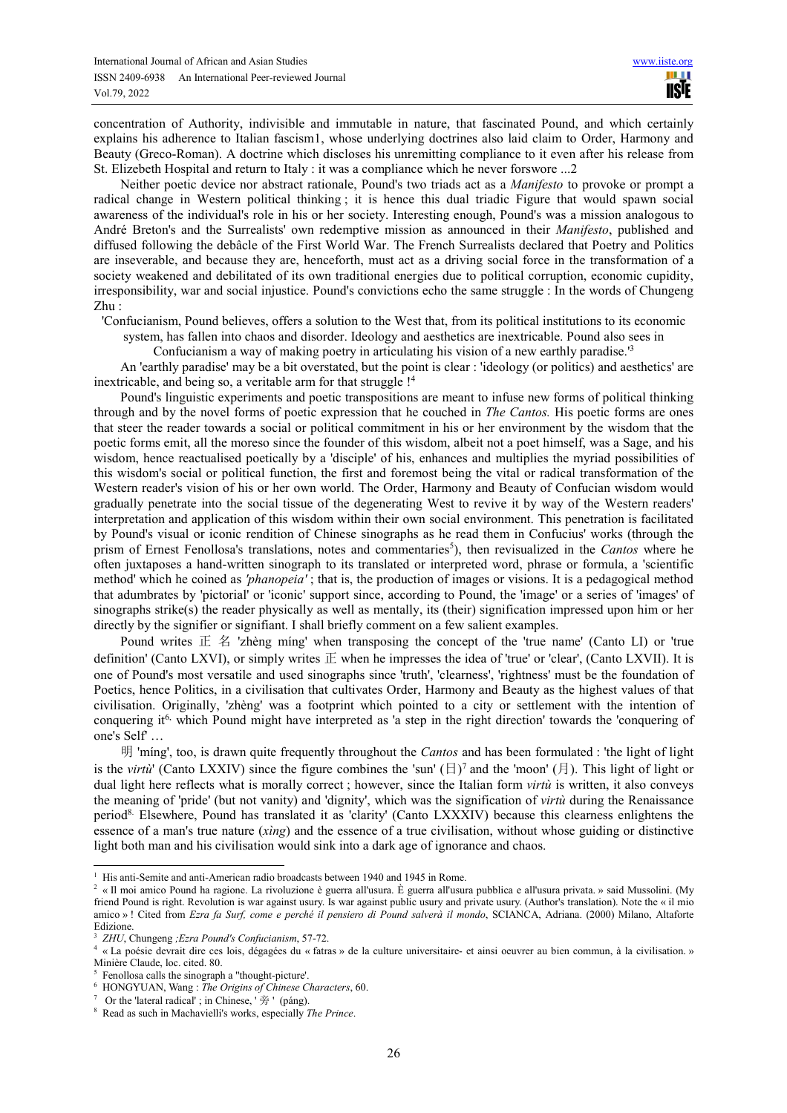concentration of Authority, indivisible and immutable in nature, that fascinated Pound, and which certainly explains his adherence to Italian fascism1, whose underlying doctrines also laid claim to Order, Harmony and Beauty (Greco-Roman). A doctrine which discloses his unremitting compliance to it even after his release from St. Elizebeth Hospital and return to Italy : it was a compliance which he never forswore ...2

Neither poetic device nor abstract rationale, Pound's two triads act as a *Manifesto* to provoke or prompt a radical change in Western political thinking ; it is hence this dual triadic Figure that would spawn social awareness of the individual's role in his or her society. Interesting enough, Pound's was a mission analogous to André Breton's and the Surrealists' own redemptive mission as announced in their *Manifesto*, published and diffused following the debâcle of the First World War. The French Surrealists declared that Poetry and Politics are inseverable, and because they are, henceforth, must act as a driving social force in the transformation of a society weakened and debilitated of its own traditional energies due to political corruption, economic cupidity, irresponsibility, war and social injustice. Pound's convictions echo the same struggle : In the words of Chungeng Zhu :

'Confucianism, Pound believes, offers a solution to the West that, from its political institutions to its economic system, has fallen into chaos and disorder. Ideology and aesthetics are inextricable. Pound also sees in

Confucianism a way of making poetry in articulating his vision of a new earthly paradise.'<sup>3</sup>

An 'earthly paradise' may be a bit overstated, but the point is clear : 'ideology (or politics) and aesthetics' are inextricable, and being so, a veritable arm for that struggle !<sup>4</sup>

Pound's linguistic experiments and poetic transpositions are meant to infuse new forms of political thinking through and by the novel forms of poetic expression that he couched in *The Cantos.* His poetic forms are ones that steer the reader towards a social or political commitment in his or her environment by the wisdom that the poetic forms emit, all the moreso since the founder of this wisdom, albeit not a poet himself, was a Sage, and his wisdom, hence reactualised poetically by a 'disciple' of his, enhances and multiplies the myriad possibilities of this wisdom's social or political function, the first and foremost being the vital or radical transformation of the Western reader's vision of his or her own world. The Order, Harmony and Beauty of Confucian wisdom would gradually penetrate into the social tissue of the degenerating West to revive it by way of the Western readers' interpretation and application of this wisdom within their own social environment. This penetration is facilitated by Pound's visual or iconic rendition of Chinese sinographs as he read them in Confucius' works (through the prism of Ernest Fenollosa's translations, notes and commentaries<sup>5</sup>), then revisualized in the *Cantos* where he often juxtaposes a hand-written sinograph to its translated or interpreted word, phrase or formula, a 'scientific method' which he coined as *'phanopeia'* ; that is, the production of images or visions. It is a pedagogical method that adumbrates by 'pictorial' or 'iconic' support since, according to Pound, the 'image' or a series of 'images' of sinographs strike(s) the reader physically as well as mentally, its (their) signification impressed upon him or her directly by the signifier or signifiant. I shall briefly comment on a few salient examples.

Pound writes  $E \nleq 2$  'zhèng míng' when transposing the concept of the 'true name' (Canto LI) or 'true definition' (Canto LXVI), or simply writes  $E$  when he impresses the idea of 'true' or 'clear', (Canto LXVII). It is one of Pound's most versatile and used sinographs since 'truth', 'clearness', 'rightness' must be the foundation of Poetics, hence Politics, in a civilisation that cultivates Order, Harmony and Beauty as the highest values of that civilisation. Originally, 'zhèng' was a footprint which pointed to a city or settlement with the intention of conquering it<sup>6,</sup> which Pound might have interpreted as 'a step in the right direction' towards the 'conquering of one's Self' …

明 'míng', too, is drawn quite frequently throughout the *Cantos* and has been formulated : 'the light of light is the *virtù*' (Canto LXXIV) since the figure combines the 'sun'  $(\exists)^7$  and the 'moon'  $(\exists)$ . This light of light or dual light here reflects what is morally correct ; however, since the Italian form *virtù* is written, it also conveys the meaning of 'pride' (but not vanity) and 'dignity', which was the signification of *virtù* during the Renaissance period8. Elsewhere, Pound has translated it as 'clarity' (Canto LXXXIV) because this clearness enlightens the essence of a man's true nature (*xìng*) and the essence of a true civilisation, without whose guiding or distinctive light both man and his civilisation would sink into a dark age of ignorance and chaos.

 $\overline{a}$ <sup>1</sup> His anti-Semite and anti-American radio broadcasts between 1940 and 1945 in Rome.

<sup>2</sup> « Il moi amico Pound ha ragione. La rivoluzione è guerra all'usura. È guerra all'usura pubblica e all'usura privata. » said Mussolini. (My friend Pound is right. Revolution is war against usury. Is war against public usury and private usury. (Author's translation). Note the « il mio amico » ! Cited from *Ezra fa Surf, come e perché il pensiero di Pound salverà il mondo*, SCIANCA, Adriana. (2000) Milano, Altaforte Edizione.

<sup>3</sup> *ZHU*, Chungeng *;Ezra Pound's Confucianism*, 57-72.

<sup>4</sup> « La poésie devrait dire ces lois, dégagées du « fatras » de la culture universitaire- et ainsi oeuvrer au bien commun, à la civilisation. » Minière Claude, loc. cited. 80.

<sup>5</sup> Fenollosa calls the sinograph a ''thought-picture'.

<sup>6</sup> HONGYUAN, Wang : *The Origins of Chinese Characters*, 60.

<sup>&</sup>lt;sup>7</sup> Or the 'lateral radical' ; in Chinese, ' $\tilde{\mathcal{B}}$  ' (páng).

<sup>8</sup> Read as such in Machavielli's works, especially *The Prince*.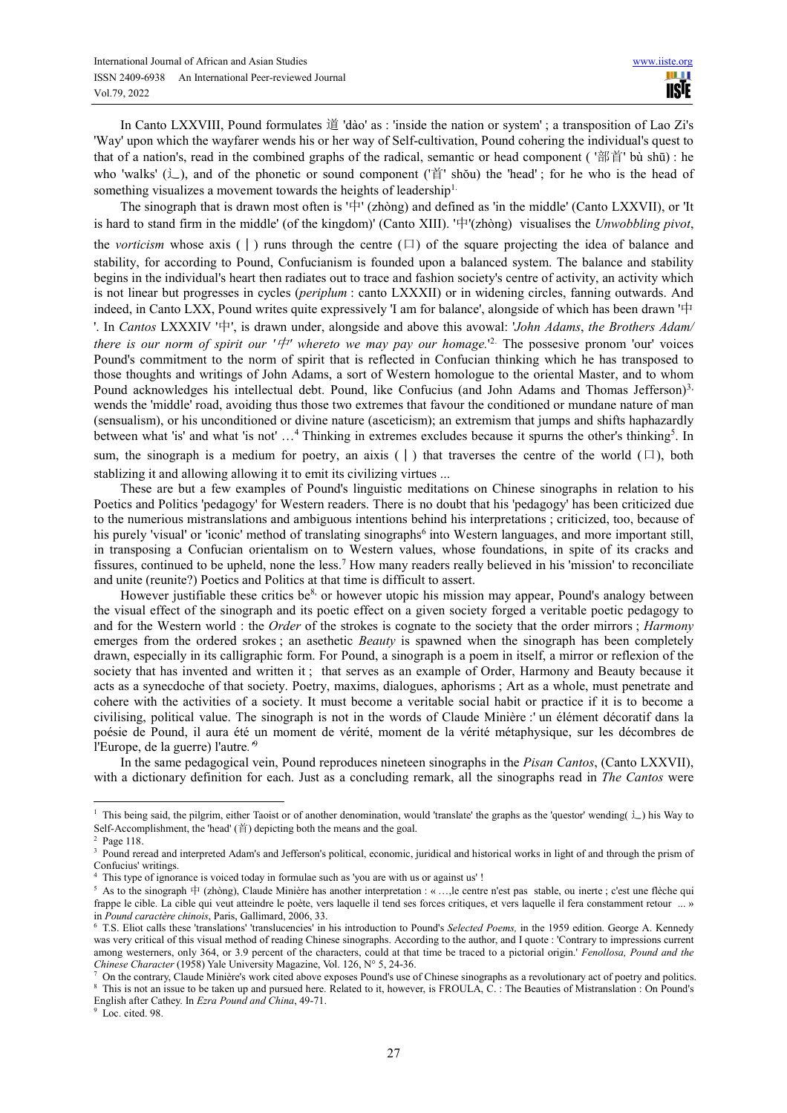In Canto LXXVIII, Pound formulates 道 'dào' as : 'inside the nation or system' ; a transposition of Lao Zi's 'Way' upon which the wayfarer wends his or her way of Self-cultivation, Pound cohering the individual's quest to that of a nation's, read in the combined graphs of the radical, semantic or head component ( '部首' bù shū) : he who 'walks' (辶), and of the phonetic or sound component ('首' shŏu) the 'head' ; for he who is the head of something visualizes a movement towards the heights of leadership<sup>1</sup>.

The sinograph that is drawn most often is '中' (zhòng) and defined as 'in the middle' (Canto LXXVII), or 'It is hard to stand firm in the middle' (of the kingdom)' (Canto XIII). '中'(zhòng) visualises the *Unwobbling pivot*, the *vorticism* whose axis ( $\vert$ ) runs through the centre ( $\vert$ ) of the square projecting the idea of balance and stability, for according to Pound, Confucianism is founded upon a balanced system. The balance and stability begins in the individual's heart then radiates out to trace and fashion society's centre of activity, an activity which is not linear but progresses in cycles (*periplum* : canto LXXXII) or in widening circles, fanning outwards. And indeed, in Canto LXX, Pound writes quite expressively 'I am for balance', alongside of which has been drawn '中 '. In *Cantos* LXXXIV '中', is drawn under, alongside and above this avowal: '*John Adams*, *the Brothers Adam/ there is our norm of spirit our '* $\#$ *' whereto we may pay our homage.*<sup>12</sup> The possesive pronom 'our' voices Pound's commitment to the norm of spirit that is reflected in Confucian thinking which he has transposed to those thoughts and writings of John Adams, a sort of Western homologue to the oriental Master, and to whom Pound acknowledges his intellectual debt. Pound, like Confucius (and John Adams and Thomas Jefferson)<sup>3,</sup> wends the 'middle' road, avoiding thus those two extremes that favour the conditioned or mundane nature of man (sensualism), or his unconditioned or divine nature (asceticism); an extremism that jumps and shifts haphazardly between what 'is' and what 'is not' ...<sup>4</sup> Thinking in extremes excludes because it spurns the other's thinking<sup>5</sup>. In sum, the sinograph is a medium for poetry, an aixis ( $\vert$ ) that traverses the centre of the world ( $\Box$ ), both stablizing it and allowing allowing it to emit its civilizing virtues ...

These are but a few examples of Pound's linguistic meditations on Chinese sinographs in relation to his Poetics and Politics 'pedagogy' for Western readers. There is no doubt that his 'pedagogy' has been criticized due to the numerious mistranslations and ambiguous intentions behind his interpretations ; criticized, too, because of his purely 'visual' or 'iconic' method of translating sinographs<sup>6</sup> into Western languages, and more important still, in transposing a Confucian orientalism on to Western values, whose foundations, in spite of its cracks and fissures, continued to be upheld, none the less.<sup>7</sup> How many readers really believed in his 'mission' to reconciliate and unite (reunite?) Poetics and Politics at that time is difficult to assert.

However justifiable these critics be<sup>8,</sup> or however utopic his mission may appear, Pound's analogy between the visual effect of the sinograph and its poetic effect on a given society forged a veritable poetic pedagogy to and for the Western world : the *Order* of the strokes is cognate to the society that the order mirrors ; *Harmony*  emerges from the ordered srokes ; an asethetic *Beauty* is spawned when the sinograph has been completely drawn, especially in its calligraphic form. For Pound, a sinograph is a poem in itself, a mirror or reflexion of the society that has invented and written it: that serves as an example of Order, Harmony and Beauty because it acts as a synecdoche of that society. Poetry, maxims, dialogues, aphorisms ; Art as a whole, must penetrate and cohere with the activities of a society. It must become a veritable social habit or practice if it is to become a civilising, political value. The sinograph is not in the words of Claude Minière :' un élément décoratif dans la poésie de Pound, il aura été un moment de vérité, moment de la vérité métaphysique, sur les décombres de l'Europe, de la guerre) l'autre*.'*<sup>9</sup>

In the same pedagogical vein, Pound reproduces nineteen sinographs in the *Pisan Cantos*, (Canto LXXVII), with a dictionary definition for each. Just as a concluding remark, all the sinographs read in *The Cantos* were

<sup>&</sup>lt;sup>1</sup> This being said, the pilgrim, either Taoist or of another denomination, would 'translate' the graphs as the 'questor' wending( $\angle$ ) his Way to Self-Accomplishment, the 'head' (首) depicting both the means and the goal.

<sup>2</sup> Page 118.

<sup>3</sup> Pound reread and interpreted Adam's and Jefferson's political, economic, juridical and historical works in light of and through the prism of Confucius' writings.

<sup>&</sup>lt;sup>4</sup> This type of ignorance is voiced today in formulae such as 'you are with us or against us' !

 $5$  As to the sinograph  $\#$  (zhòng), Claude Minière has another interpretation : « ..., le centre n'est pas stable, ou inerte ; c'est une flèche qui frappe le cible. La cible qui veut atteindre le poète, vers laquelle il tend ses forces critiques, et vers laquelle il fera constamment retour ... » in *Pound caractère chinois*, Paris, Gallimard, 2006, 33.

<sup>6</sup> T.S. Eliot calls these 'translations' 'translucencies' in his introduction to Pound's *Selected Poems,* in the 1959 edition. George A. Kennedy was very critical of this visual method of reading Chinese sinographs. According to the author, and I quote : 'Contrary to impressions current among westerners, only 364, or 3.9 percent of the characters, could at that time be traced to a pictorial origin.' *Fenollosa, Pound and the Chinese Character* (1958) Yale University Magazine, Vol. 126, N° 5, 24-36.

<sup>7</sup> On the contrary, Claude Minière's work cited above exposes Pound's use of Chinese sinographs as a revolutionary act of poetry and politics. <sup>8</sup> This is not an issue to be taken up and pursued here. Related to it, however, is FROULA, C. : The Beauties of Mistranslation : On Pound's

English after Cathey. In *Ezra Pound and China*, 49-71.

<sup>&</sup>lt;sup>9</sup> Loc. cited. 98.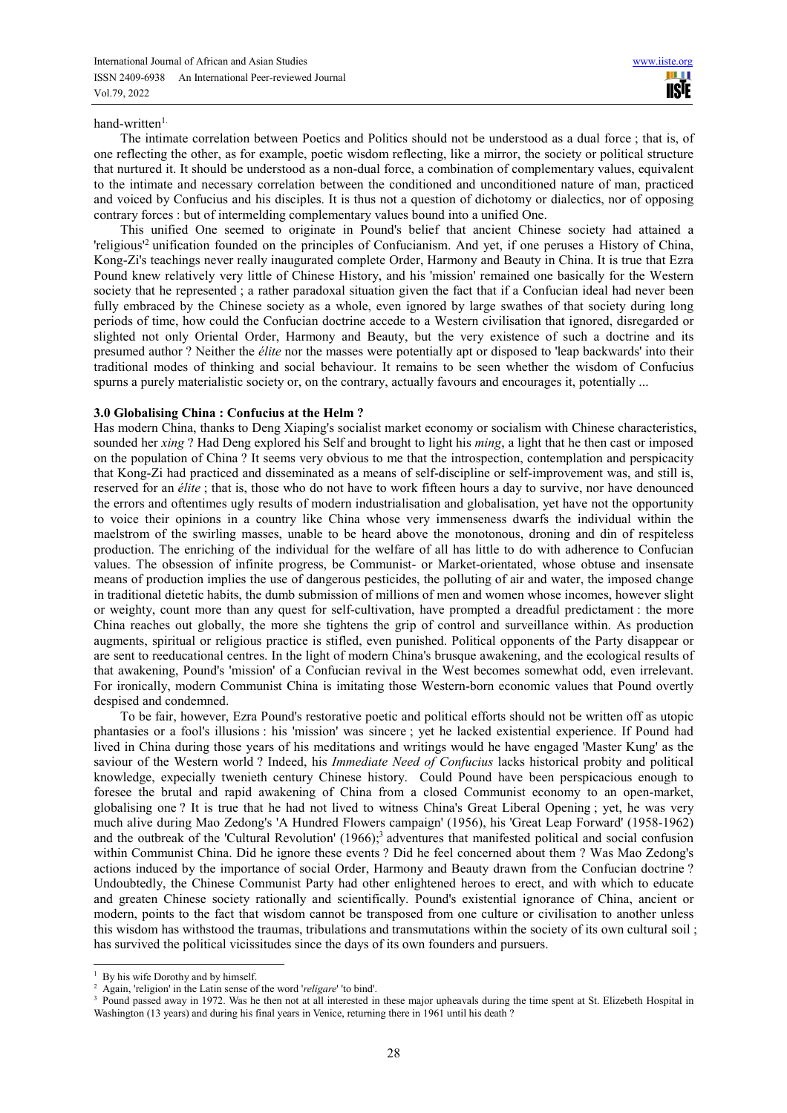#### hand-written1.

The intimate correlation between Poetics and Politics should not be understood as a dual force ; that is, of one reflecting the other, as for example, poetic wisdom reflecting, like a mirror, the society or political structure that nurtured it. It should be understood as a non-dual force, a combination of complementary values, equivalent to the intimate and necessary correlation between the conditioned and unconditioned nature of man, practiced and voiced by Confucius and his disciples. It is thus not a question of dichotomy or dialectics, nor of opposing contrary forces : but of intermelding complementary values bound into a unified One.

This unified One seemed to originate in Pound's belief that ancient Chinese society had attained a 'religious<sup>12</sup> unification founded on the principles of Confucianism. And yet, if one peruses a History of China, Kong-Zi's teachings never really inaugurated complete Order, Harmony and Beauty in China. It is true that Ezra Pound knew relatively very little of Chinese History, and his 'mission' remained one basically for the Western society that he represented ; a rather paradoxal situation given the fact that if a Confucian ideal had never been fully embraced by the Chinese society as a whole, even ignored by large swathes of that society during long periods of time, how could the Confucian doctrine accede to a Western civilisation that ignored, disregarded or slighted not only Oriental Order, Harmony and Beauty, but the very existence of such a doctrine and its presumed author ? Neither the *élite* nor the masses were potentially apt or disposed to 'leap backwards' into their traditional modes of thinking and social behaviour. It remains to be seen whether the wisdom of Confucius spurns a purely materialistic society or, on the contrary, actually favours and encourages it, potentially ...

## **3.0 Globalising China : Confucius at the Helm ?**

Has modern China, thanks to Deng Xiaping's socialist market economy or socialism with Chinese characteristics, sounded her *xing* ? Had Deng explored his Self and brought to light his *ming*, a light that he then cast or imposed on the population of China ? It seems very obvious to me that the introspection, contemplation and perspicacity that Kong-Zi had practiced and disseminated as a means of self-discipline or self-improvement was, and still is, reserved for an *élite* ; that is, those who do not have to work fifteen hours a day to survive, nor have denounced the errors and oftentimes ugly results of modern industrialisation and globalisation, yet have not the opportunity to voice their opinions in a country like China whose very immenseness dwarfs the individual within the maelstrom of the swirling masses, unable to be heard above the monotonous, droning and din of respiteless production. The enriching of the individual for the welfare of all has little to do with adherence to Confucian values. The obsession of infinite progress, be Communist- or Market-orientated, whose obtuse and insensate means of production implies the use of dangerous pesticides, the polluting of air and water, the imposed change in traditional dietetic habits, the dumb submission of millions of men and women whose incomes, however slight or weighty, count more than any quest for self-cultivation, have prompted a dreadful predictament : the more China reaches out globally, the more she tightens the grip of control and surveillance within. As production augments, spiritual or religious practice is stifled, even punished. Political opponents of the Party disappear or are sent to reeducational centres. In the light of modern China's brusque awakening, and the ecological results of that awakening, Pound's 'mission' of a Confucian revival in the West becomes somewhat odd, even irrelevant. For ironically, modern Communist China is imitating those Western-born economic values that Pound overtly despised and condemned.

To be fair, however, Ezra Pound's restorative poetic and political efforts should not be written off as utopic phantasies or a fool's illusions : his 'mission' was sincere ; yet he lacked existential experience. If Pound had lived in China during those years of his meditations and writings would he have engaged 'Master Kung' as the saviour of the Western world ? Indeed, his *Immediate Need of Confucius* lacks historical probity and political knowledge, expecially twenieth century Chinese history. Could Pound have been perspicacious enough to foresee the brutal and rapid awakening of China from a closed Communist economy to an open-market, globalising one ? It is true that he had not lived to witness China's Great Liberal Opening ; yet, he was very much alive during Mao Zedong's 'A Hundred Flowers campaign' (1956), his 'Great Leap Forward' (1958-1962) and the outbreak of the 'Cultural Revolution'  $(1966)$ ;<sup>3</sup> adventures that manifested political and social confusion within Communist China. Did he ignore these events ? Did he feel concerned about them ? Was Mao Zedong's actions induced by the importance of social Order, Harmony and Beauty drawn from the Confucian doctrine ? Undoubtedly, the Chinese Communist Party had other enlightened heroes to erect, and with which to educate and greaten Chinese society rationally and scientifically. Pound's existential ignorance of China, ancient or modern, points to the fact that wisdom cannot be transposed from one culture or civilisation to another unless this wisdom has withstood the traumas, tribulations and transmutations within the society of its own cultural soil ; has survived the political vicissitudes since the days of its own founders and pursuers.

By his wife Dorothy and by himself.

<sup>2</sup> Again, 'religion' in the Latin sense of the word '*religare*' 'to bind'.

Pound passed away in 1972. Was he then not at all interested in these major upheavals during the time spent at St. Elizebeth Hospital in Washington (13 years) and during his final years in Venice, returning there in 1961 until his death ?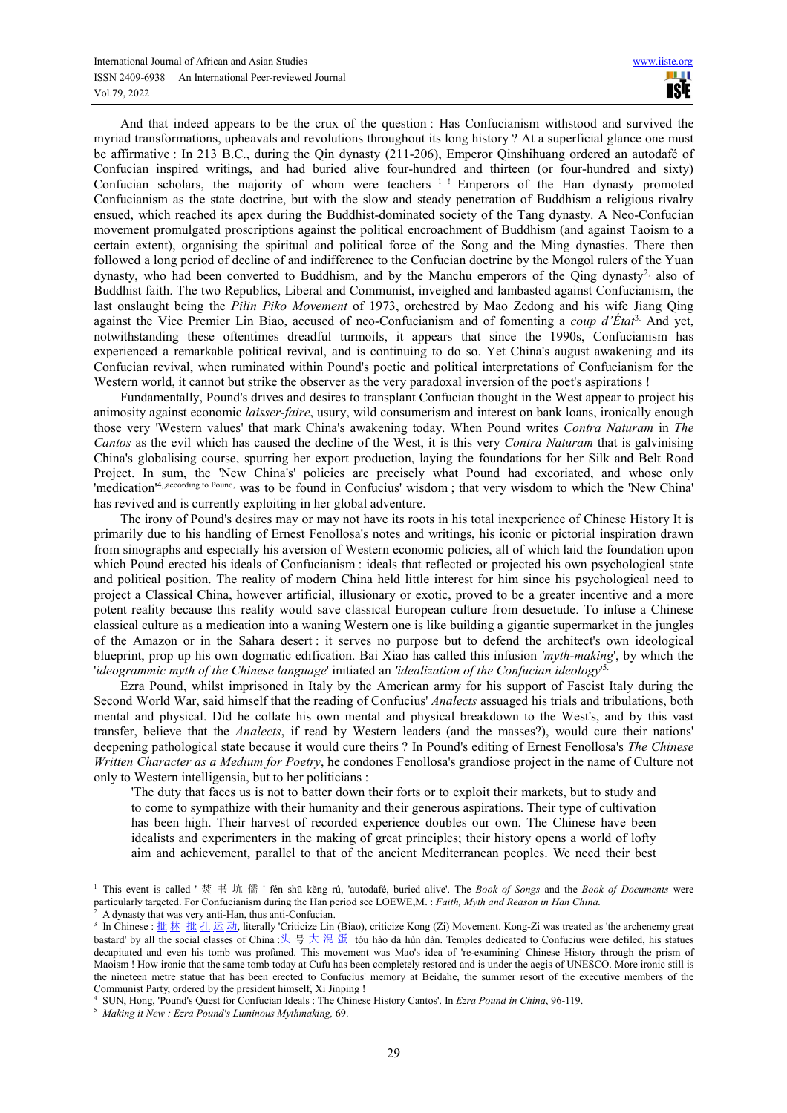And that indeed appears to be the crux of the question : Has Confucianism withstood and survived the myriad transformations, upheavals and revolutions throughout its long history ? At a superficial glance one must be affirmative : In 213 B.C., during the Qin dynasty (211-206), Emperor Qinshihuang ordered an autodafé of Confucian inspired writings, and had buried alive four-hundred and thirteen (or four-hundred and sixty) Confucian scholars, the majority of whom were teachers  $1$ ! Emperors of the Han dynasty promoted Confucianism as the state doctrine, but with the slow and steady penetration of Buddhism a religious rivalry ensued, which reached its apex during the Buddhist-dominated society of the Tang dynasty. A Neo-Confucian movement promulgated proscriptions against the political encroachment of Buddhism (and against Taoism to a certain extent), organising the spiritual and political force of the Song and the Ming dynasties. There then followed a long period of decline of and indifference to the Confucian doctrine by the Mongol rulers of the Yuan dynasty, who had been converted to Buddhism, and by the Manchu emperors of the Qing dynasty<sup>2,</sup> also of Buddhist faith. The two Republics, Liberal and Communist, inveighed and lambasted against Confucianism, the last onslaught being the *Pilin Piko Movement* of 1973, orchestred by Mao Zedong and his wife Jiang Qing against the Vice Premier Lin Biao, accused of neo-Confucianism and of fomenting a *coup d'État*3. And yet, notwithstanding these oftentimes dreadful turmoils, it appears that since the 1990s, Confucianism has experienced a remarkable political revival, and is continuing to do so. Yet China's august awakening and its Confucian revival, when ruminated within Pound's poetic and political interpretations of Confucianism for the Western world, it cannot but strike the observer as the very paradoxal inversion of the poet's aspirations !

Fundamentally, Pound's drives and desires to transplant Confucian thought in the West appear to project his animosity against economic *laisser-faire*, usury, wild consumerism and interest on bank loans, ironically enough those very 'Western values' that mark China's awakening today. When Pound writes *Contra Naturam* in *The Cantos* as the evil which has caused the decline of the West, it is this very *Contra Naturam* that is galvinising China's globalising course, spurring her export production, laying the foundations for her Silk and Belt Road Project. In sum, the 'New China's' policies are precisely what Pound had excoriated, and whose only 'medication'4,,according to Pound, was to be found in Confucius' wisdom ; that very wisdom to which the 'New China' has revived and is currently exploiting in her global adventure.

The irony of Pound's desires may or may not have its roots in his total inexperience of Chinese History It is primarily due to his handling of Ernest Fenollosa's notes and writings, his iconic or pictorial inspiration drawn from sinographs and especially his aversion of Western economic policies, all of which laid the foundation upon which Pound erected his ideals of Confucianism : ideals that reflected or projected his own psychological state and political position. The reality of modern China held little interest for him since his psychological need to project a Classical China, however artificial, illusionary or exotic, proved to be a greater incentive and a more potent reality because this reality would save classical European culture from desuetude. To infuse a Chinese classical culture as a medication into a waning Western one is like building a gigantic supermarket in the jungles of the Amazon or in the Sahara desert : it serves no purpose but to defend the architect's own ideological blueprint, prop up his own dogmatic edification. Bai Xiao has called this infusion *'myth-making*', by which the '*ideogrammic myth of the Chinese language*' initiated an *'idealization of the Confucian ideology*' 5.

Ezra Pound, whilst imprisoned in Italy by the American army for his support of Fascist Italy during the Second World War, said himself that the reading of Confucius' *Analects* assuaged his trials and tribulations, both mental and physical. Did he collate his own mental and physical breakdown to the West's, and by this vast transfer, believe that the *Analects*, if read by Western leaders (and the masses?), would cure their nations' deepening pathological state because it would cure theirs ? In Pound's editing of Ernest Fenollosa's *The Chinese Written Character as a Medium for Poetry*, he condones Fenollosa's grandiose project in the name of Culture not only to Western intelligensia, but to her politicians :

'The duty that faces us is not to batter down their forts or to exploit their markets, but to study and to come to sympathize with their humanity and their generous aspirations. Their type of cultivation has been high. Their harvest of recorded experience doubles our own. The Chinese have been idealists and experimenters in the making of great principles; their history opens a world of lofty aim and achievement, parallel to that of the ancient Mediterranean peoples. We need their best

<sup>1</sup> This event is called ' 焚 书 坑 儒 ' fén shū kěng rú, 'autodafé, buried alive'. The *Book of Songs* and the *Book of Documents* were particularly targeted. For Confucianism during the Han period see LOEWE,M. : *Faith, Myth and Reason in Han China.*

<sup>2</sup> A dynasty that was very anti-Han, thus anti-Confucian.

<sup>&</sup>lt;sup>3</sup> In Chinese : <u>批林 批孔运动,</u> literally 'Criticize Lin (Biao), criticize Kong (Zi) Movement. Kong-Zi was treated as 'the archenemy great bastard' by all the social classes of China :头 号 大 混 蛋 tóu hào dà hùn dàn. Temples dedicated to Confucius were defiled, his statues decapitated and even his tomb was profaned. This movement was Mao's idea of 're-examining' Chinese History through the prism of Maoism ! How ironic that the same tomb today at Cufu has been completely restored and is under the aegis of UNESCO. More ironic still is the nineteen metre statue that has been erected to Confucius' memory at Beidahe, the summer resort of the executive members of the Communist Party, ordered by the president himself, Xi Jinping !

<sup>4</sup> SUN, Hong, 'Pound's Quest for Confucian Ideals : The Chinese History Cantos'. In *Ezra Pound in China*, 96-119.

<sup>5</sup>  *Making it New : Ezra Pound's Luminous Mythmaking,* 69.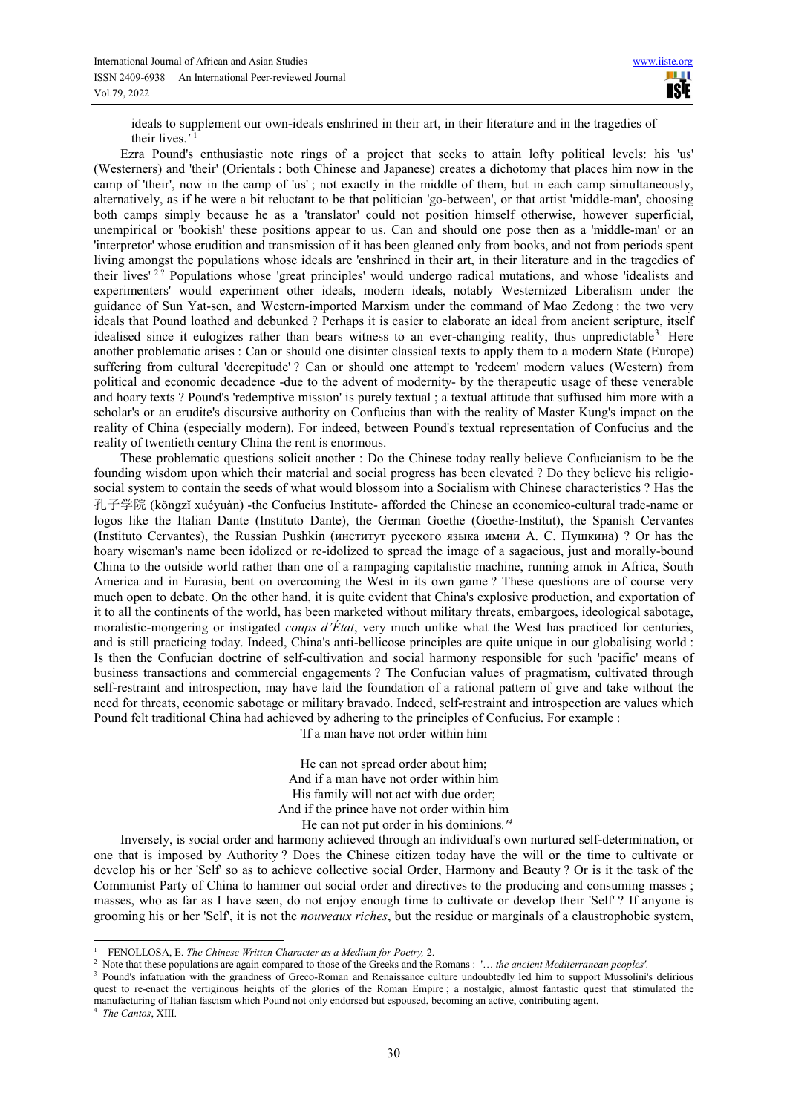ideals to supplement our own-ideals enshrined in their art, in their literature and in the tragedies of their lives.*'* 1

Ezra Pound's enthusiastic note rings of a project that seeks to attain lofty political levels: his 'us' (Westerners) and 'their' (Orientals : both Chinese and Japanese) creates a dichotomy that places him now in the camp of 'their', now in the camp of 'us' ; not exactly in the middle of them, but in each camp simultaneously, alternatively, as if he were a bit reluctant to be that politician 'go-between', or that artist 'middle-man', choosing both camps simply because he as a 'translator' could not position himself otherwise, however superficial, unempirical or 'bookish' these positions appear to us. Can and should one pose then as a 'middle-man' or an 'interpretor' whose erudition and transmission of it has been gleaned only from books, and not from periods spent living amongst the populations whose ideals are 'enshrined in their art, in their literature and in the tragedies of their lives'<sup>27</sup> Populations whose 'great principles' would undergo radical mutations, and whose 'idealists and experimenters' would experiment other ideals, modern ideals, notably Westernized Liberalism under the guidance of Sun Yat-sen, and Western-imported Marxism under the command of Mao Zedong : the two very ideals that Pound loathed and debunked ? Perhaps it is easier to elaborate an ideal from ancient scripture, itself idealised since it eulogizes rather than bears witness to an ever-changing reality, thus unpredictable<sup>3.</sup> Here another problematic arises : Can or should one disinter classical texts to apply them to a modern State (Europe) suffering from cultural 'decrepitude' ? Can or should one attempt to 'redeem' modern values (Western) from political and economic decadence -due to the advent of modernity- by the therapeutic usage of these venerable and hoary texts ? Pound's 'redemptive mission' is purely textual ; a textual attitude that suffused him more with a scholar's or an erudite's discursive authority on Confucius than with the reality of Master Kung's impact on the reality of China (especially modern). For indeed, between Pound's textual representation of Confucius and the reality of twentieth century China the rent is enormous.

These problematic questions solicit another : Do the Chinese today really believe Confucianism to be the founding wisdom upon which their material and social progress has been elevated ? Do they believe his religiosocial system to contain the seeds of what would blossom into a Socialism with Chinese characteristics ? Has the 孔子学院 (kǒngzǐ xuéyuàn) -the Confucius Institute- afforded the Chinese an economico-cultural trade-name or logos like the Italian Dante (Instituto Dante), the German Goethe (Goethe-Institut), the Spanish Cervantes (Instituto Cervantes), the Russian Pushkin (институт русского языка имени А. С. Пушкина) ? Or has the hoary wiseman's name been idolized or re-idolized to spread the image of a sagacious, just and morally-bound China to the outside world rather than one of a rampaging capitalistic machine, running amok in Africa, South America and in Eurasia, bent on overcoming the West in its own game ? These questions are of course very much open to debate. On the other hand, it is quite evident that China's explosive production, and exportation of it to all the continents of the world, has been marketed without military threats, embargoes, ideological sabotage, moralistic-mongering or instigated *coups d'État*, very much unlike what the West has practiced for centuries, and is still practicing today. Indeed, China's anti-bellicose principles are quite unique in our globalising world : Is then the Confucian doctrine of self-cultivation and social harmony responsible for such 'pacific' means of business transactions and commercial engagements ? The Confucian values of pragmatism, cultivated through self-restraint and introspection, may have laid the foundation of a rational pattern of give and take without the need for threats, economic sabotage or military bravado. Indeed, self-restraint and introspection are values which Pound felt traditional China had achieved by adhering to the principles of Confucius. For example :

'If a man have not order within him

He can not spread order about him; And if a man have not order within him His family will not act with due order; And if the prince have not order within him

He can not put order in his dominions*.'<sup>4</sup>* 

Inversely, is *s*ocial order and harmony achieved through an individual's own nurtured self-determination, or one that is imposed by Authority ? Does the Chinese citizen today have the will or the time to cultivate or develop his or her 'Self' so as to achieve collective social Order, Harmony and Beauty ? Or is it the task of the Communist Party of China to hammer out social order and directives to the producing and consuming masses ; masses, who as far as I have seen, do not enjoy enough time to cultivate or develop their 'Self' ? If anyone is grooming his or her 'Self', it is not the *nouveaux riches*, but the residue or marginals of a claustrophobic system,

<sup>1</sup> FENOLLOSA, E. *The Chinese Written Character as a Medium for Poetry,* 2.

<sup>2</sup> Note that these populations are again compared to those of the Greeks and the Romans : '… *the ancient Mediterranean peoples'.*

<sup>&</sup>lt;sup>3</sup> Pound's infatuation with the grandness of Greco-Roman and Renaissance culture undoubtedly led him to support Mussolini's delirious quest to re-enact the vertiginous heights of the glories of the Roman Empire ; a nostalgic, almost fantastic quest that stimulated the manufacturing of Italian fascism which Pound not only endorsed but espoused, becoming an active, contributing agent.

<sup>4</sup> *The Cantos*, XIII.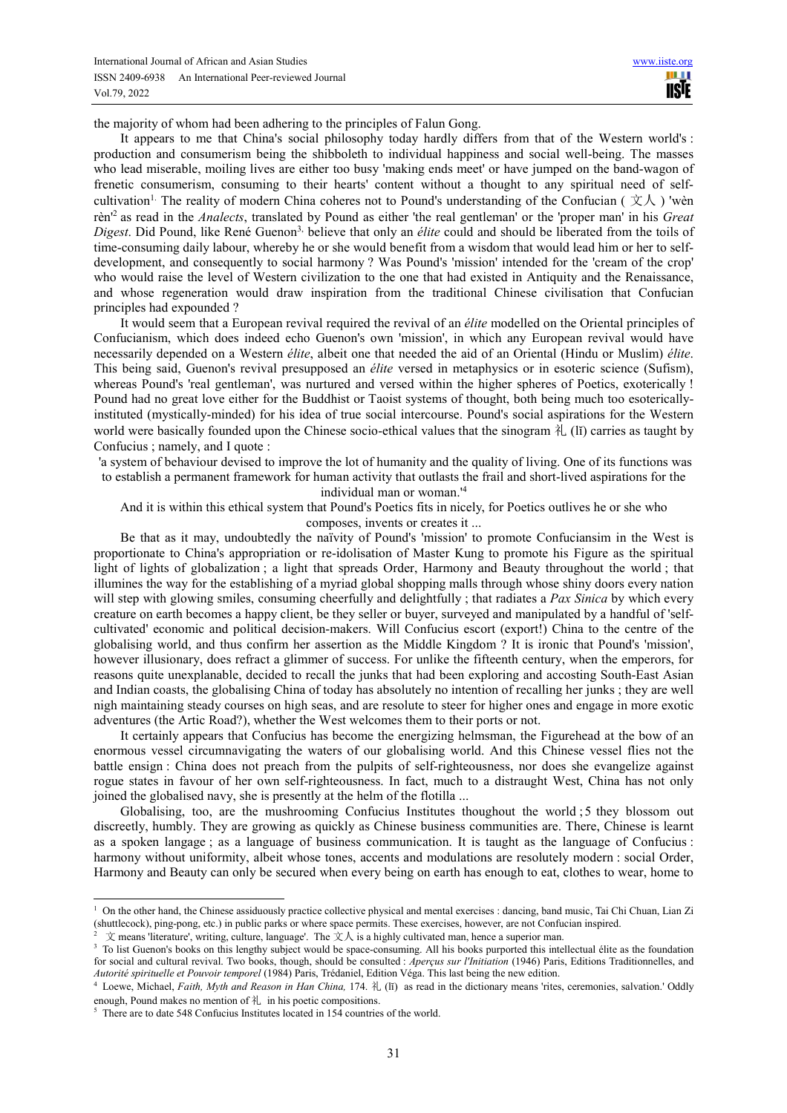the majority of whom had been adhering to the principles of Falun Gong.

It appears to me that China's social philosophy today hardly differs from that of the Western world's : production and consumerism being the shibboleth to individual happiness and social well-being. The masses who lead miserable, moiling lives are either too busy 'making ends meet' or have jumped on the band-wagon of frenetic consumerism, consuming to their hearts' content without a thought to any spiritual need of selfcultivation<sup>1.</sup> The reality of modern China coheres not to Pound's understanding of the Confucian ( $\dot{\chi}$ ) 'wèn rèn'<sup>2</sup> as read in the *Analects*, translated by Pound as either 'the real gentleman' or the 'proper man' in his *Great Digest*. Did Pound, like René Guenon<sup>3,</sup> believe that only an *élite* could and should be liberated from the toils of time-consuming daily labour, whereby he or she would benefit from a wisdom that would lead him or her to selfdevelopment, and consequently to social harmony ? Was Pound's 'mission' intended for the 'cream of the crop' who would raise the level of Western civilization to the one that had existed in Antiquity and the Renaissance, and whose regeneration would draw inspiration from the traditional Chinese civilisation that Confucian principles had expounded ?

It would seem that a European revival required the revival of an *élite* modelled on the Oriental principles of Confucianism, which does indeed echo Guenon's own 'mission', in which any European revival would have necessarily depended on a Western *élite*, albeit one that needed the aid of an Oriental (Hindu or Muslim) *élite*. This being said, Guenon's revival presupposed an *élite* versed in metaphysics or in esoteric science (Sufism), whereas Pound's 'real gentleman', was nurtured and versed within the higher spheres of Poetics, exoterically ! Pound had no great love either for the Buddhist or Taoist systems of thought, both being much too esotericallyinstituted (mystically-minded) for his idea of true social intercourse. Pound's social aspirations for the Western world were basically founded upon the Chinese socio-ethical values that the sinogram  $\lambda$  (II) carries as taught by Confucius ; namely, and I quote :

 'a system of behaviour devised to improve the lot of humanity and the quality of living. One of its functions was to establish a permanent framework for human activity that outlasts the frail and short-lived aspirations for the individual man or woman.'<sup>4</sup>

And it is within this ethical system that Pound's Poetics fits in nicely, for Poetics outlives he or she who composes, invents or creates it ...

Be that as it may, undoubtedly the naïvity of Pound's 'mission' to promote Confuciansim in the West is proportionate to China's appropriation or re-idolisation of Master Kung to promote his Figure as the spiritual light of lights of globalization ; a light that spreads Order, Harmony and Beauty throughout the world ; that illumines the way for the establishing of a myriad global shopping malls through whose shiny doors every nation will step with glowing smiles, consuming cheerfully and delightfully ; that radiates a *Pax Sinica* by which every creature on earth becomes a happy client, be they seller or buyer, surveyed and manipulated by a handful of 'selfcultivated' economic and political decision-makers. Will Confucius escort (export!) China to the centre of the globalising world, and thus confirm her assertion as the Middle Kingdom ? It is ironic that Pound's 'mission', however illusionary, does refract a glimmer of success. For unlike the fifteenth century, when the emperors, for reasons quite unexplanable, decided to recall the junks that had been exploring and accosting South-East Asian and Indian coasts, the globalising China of today has absolutely no intention of recalling her junks ; they are well nigh maintaining steady courses on high seas, and are resolute to steer for higher ones and engage in more exotic adventures (the Artic Road?), whether the West welcomes them to their ports or not.

It certainly appears that Confucius has become the energizing helmsman, the Figurehead at the bow of an enormous vessel circumnavigating the waters of our globalising world. And this Chinese vessel flies not the battle ensign : China does not preach from the pulpits of self-righteousness, nor does she evangelize against rogue states in favour of her own self-righteousness. In fact, much to a distraught West, China has not only joined the globalised navy, she is presently at the helm of the flotilla ...

Globalising, too, are the mushrooming Confucius Institutes thoughout the world ;5 they blossom out discreetly, humbly. They are growing as quickly as Chinese business communities are. There, Chinese is learnt as a spoken langage ; as a language of business communication. It is taught as the language of Confucius : harmony without uniformity, albeit whose tones, accents and modulations are resolutely modern : social Order, Harmony and Beauty can only be secured when every being on earth has enough to eat, clothes to wear, home to

<sup>&</sup>lt;sup>1</sup> On the other hand, the Chinese assiduously practice collective physical and mental exercises : dancing, band music, Tai Chi Chuan, Lian Zi (shuttlecock), ping-pong, etc.) in public parks or where space permits. These exercises, however, are not Confucian inspired.

<sup>2</sup>  $\dot{\chi}$  means 'literature', writing, culture, language'. The  $\dot{\chi}$  is a highly cultivated man, hence a superior man.

<sup>&</sup>lt;sup>3</sup> To list Guenon's books on this lengthy subject would be space-consuming. All his books purported this intellectual élite as the foundation for social and cultural revival. Two books, though, should be consulted : *Aperçus sur l'Initiation* (1946) Paris, Editions Traditionnelles, and *Autorité spirituelle et Pouvoir temporel* (1984) Paris, Trédaniel, Edition Véga. This last being the new edition.

<sup>4</sup> Loewe, Michael, *Faith, Myth and Reason in Han China,* 174. 礼 (lĭ) as read in the dictionary means 'rites, ceremonies, salvation.' Oddly enough, Pound makes no mention of  $\lambda$  in his poetic compositions.

<sup>&</sup>lt;sup>5</sup> There are to date 548 Confucius Institutes located in 154 countries of the world.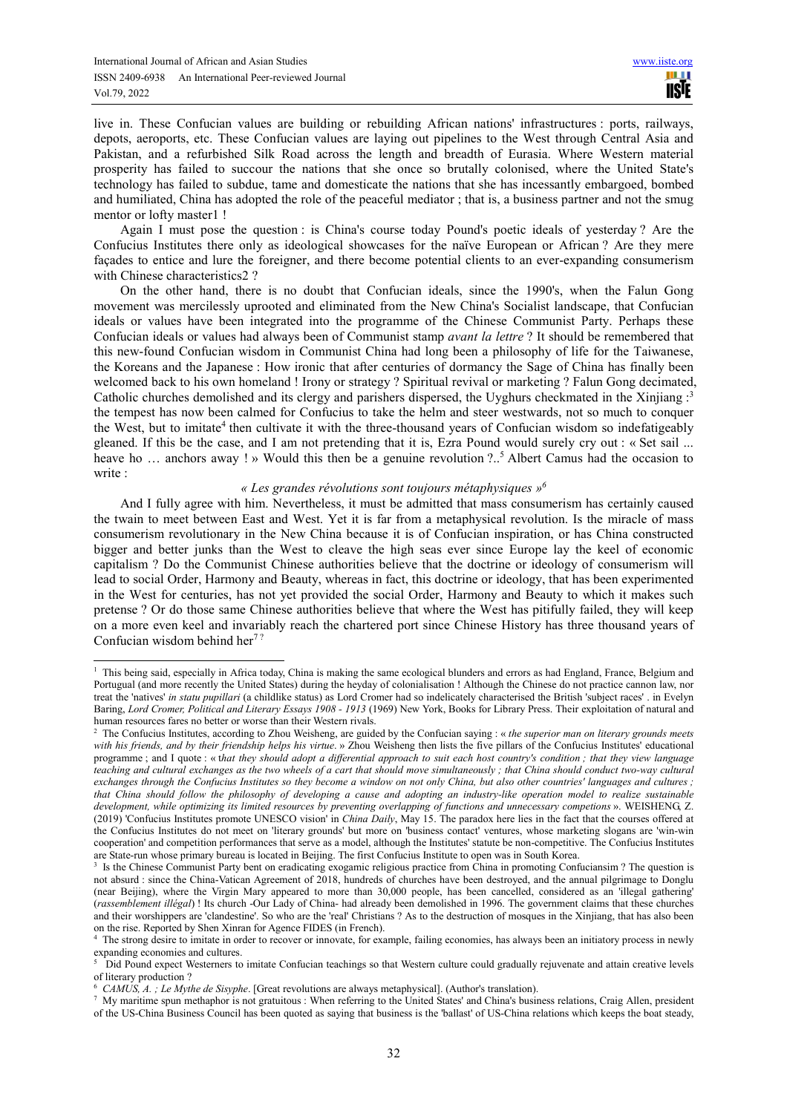$\overline{a}$ 

live in. These Confucian values are building or rebuilding African nations' infrastructures : ports, railways, depots, aeroports, etc. These Confucian values are laying out pipelines to the West through Central Asia and Pakistan, and a refurbished Silk Road across the length and breadth of Eurasia. Where Western material prosperity has failed to succour the nations that she once so brutally colonised, where the United State's technology has failed to subdue, tame and domesticate the nations that she has incessantly embargoed, bombed and humiliated, China has adopted the role of the peaceful mediator ; that is, a business partner and not the smug mentor or lofty master1 !

Again I must pose the question : is China's course today Pound's poetic ideals of yesterday ? Are the Confucius Institutes there only as ideological showcases for the naïve European or African ? Are they mere façades to entice and lure the foreigner, and there become potential clients to an ever-expanding consumerism with Chinese characteristics2 ?

On the other hand, there is no doubt that Confucian ideals, since the 1990's, when the Falun Gong movement was mercilessly uprooted and eliminated from the New China's Socialist landscape, that Confucian ideals or values have been integrated into the programme of the Chinese Communist Party. Perhaps these Confucian ideals or values had always been of Communist stamp *avant la lettre* ? It should be remembered that this new-found Confucian wisdom in Communist China had long been a philosophy of life for the Taiwanese, the Koreans and the Japanese : How ironic that after centuries of dormancy the Sage of China has finally been welcomed back to his own homeland ! Irony or strategy ? Spiritual revival or marketing ? Falun Gong decimated, Catholic churches demolished and its clergy and parishers dispersed, the Uyghurs checkmated in the Xinjiang :<sup>3</sup> the tempest has now been calmed for Confucius to take the helm and steer westwards, not so much to conquer the West, but to imitate<sup>4</sup> then cultivate it with the three-thousand years of Confucian wisdom so indefatigeably gleaned. If this be the case, and I am not pretending that it is, Ezra Pound would surely cry out : « Set sail ... heave ho ... anchors away ! » Would this then be a genuine revolution ?..<sup>5</sup> Albert Camus had the occasion to write  $\cdot$ 

### *« Les grandes révolutions sont toujours métaphysiques »<sup>6</sup>*

And I fully agree with him. Nevertheless, it must be admitted that mass consumerism has certainly caused the twain to meet between East and West. Yet it is far from a metaphysical revolution. Is the miracle of mass consumerism revolutionary in the New China because it is of Confucian inspiration, or has China constructed bigger and better junks than the West to cleave the high seas ever since Europe lay the keel of economic capitalism ? Do the Communist Chinese authorities believe that the doctrine or ideology of consumerism will lead to social Order, Harmony and Beauty, whereas in fact, this doctrine or ideology, that has been experimented in the West for centuries, has not yet provided the social Order, Harmony and Beauty to which it makes such pretense ? Or do those same Chinese authorities believe that where the West has pitifully failed, they will keep on a more even keel and invariably reach the chartered port since Chinese History has three thousand years of Confucian wisdom behind her<sup>7?</sup>

<sup>&</sup>lt;sup>1</sup> This being said, especially in Africa today, China is making the same ecological blunders and errors as had England, France, Belgium and Portugual (and more recently the United States) during the heyday of colonialisation ! Although the Chinese do not practice cannon law, nor treat the 'natives' *in statu pupillari* (a childlike status) as Lord Cromer had so indelicately characterised the British 'subject races' . in Evelyn Baring, *Lord Cromer, Political and Literary Essays 1908 - 1913* (1969) New York, Books for Library Press. Their exploitation of natural and human resources fares no better or worse than their Western rivals.

<sup>&</sup>lt;sup>2</sup> The Confucius Institutes, according to Zhou Weisheng, are guided by the Confucian saying : « *the superior man on literary grounds meets with his friends, and by their friendship helps his virtue*. » Zhou Weisheng then lists the five pillars of the Confucius Institutes' educational programme ; and I quote : « t*hat they should adopt a differential approach to suit each host country's condition ; that they view language teaching and cultural exchanges as the two wheels of a cart that should move simultaneously ; that China should conduct two-way cultural exchanges through the Confucius Institutes so they become a window on not only China, but also other countries' languages and cultures ; that China should follow the philosophy of developing a cause and adopting an industry-like operation model to realize sustainable development, while optimizing its limited resources by preventing overlapping of functions and unnecessary competions* ». WEISHENG, Z. (2019) 'Confucius Institutes promote UNESCO vision' in *China Daily*, May 15. The paradox here lies in the fact that the courses offered at the Confucius Institutes do not meet on 'literary grounds' but more on 'business contact' ventures, whose marketing slogans are 'win-win cooperation' and competition performances that serve as a model, although the Institutes' statute be non-competitive. The Confucius Institutes are State-run whose primary bureau is located in Beijing. The first Confucius Institute to open was in South Korea.

<sup>&</sup>lt;sup>3</sup> Is the Chinese Communist Party bent on eradicating exogamic religious practice from China in promoting Confuciansim ? The question is not absurd : since the China-Vatican Agreement of 2018, hundreds of churches have been destroyed, and the annual pilgrimage to Donglu (near Beijing), where the Virgin Mary appeared to more than 30,000 people, has been cancelled, considered as an 'illegal gathering' (*rassemblement illégal*) ! Its church -Our Lady of China- had already been demolished in 1996. The government claims that these churches and their worshippers are 'clandestine'. So who are the 'real' Christians ? As to the destruction of mosques in the Xinjiang, that has also been on the rise. Reported by Shen Xinran for Agence FIDES (in French).

<sup>&</sup>lt;sup>4</sup> The strong desire to imitate in order to recover or innovate, for example, failing economies, has always been an initiatory process in newly expanding economies and cultures.

<sup>5</sup> Did Pound expect Westerners to imitate Confucian teachings so that Western culture could gradually rejuvenate and attain creative levels of literary production ?

<sup>6</sup> *CAMUS, A. ; Le Mythe de Sisyphe*. [Great revolutions are always metaphysical]. (Author's translation).

<sup>7</sup> My maritime spun methaphor is not gratuitous : When referring to the United States' and China's business relations, Craig Allen, president of the US-China Business Council has been quoted as saying that business is the 'ballast' of US-China relations which keeps the boat steady,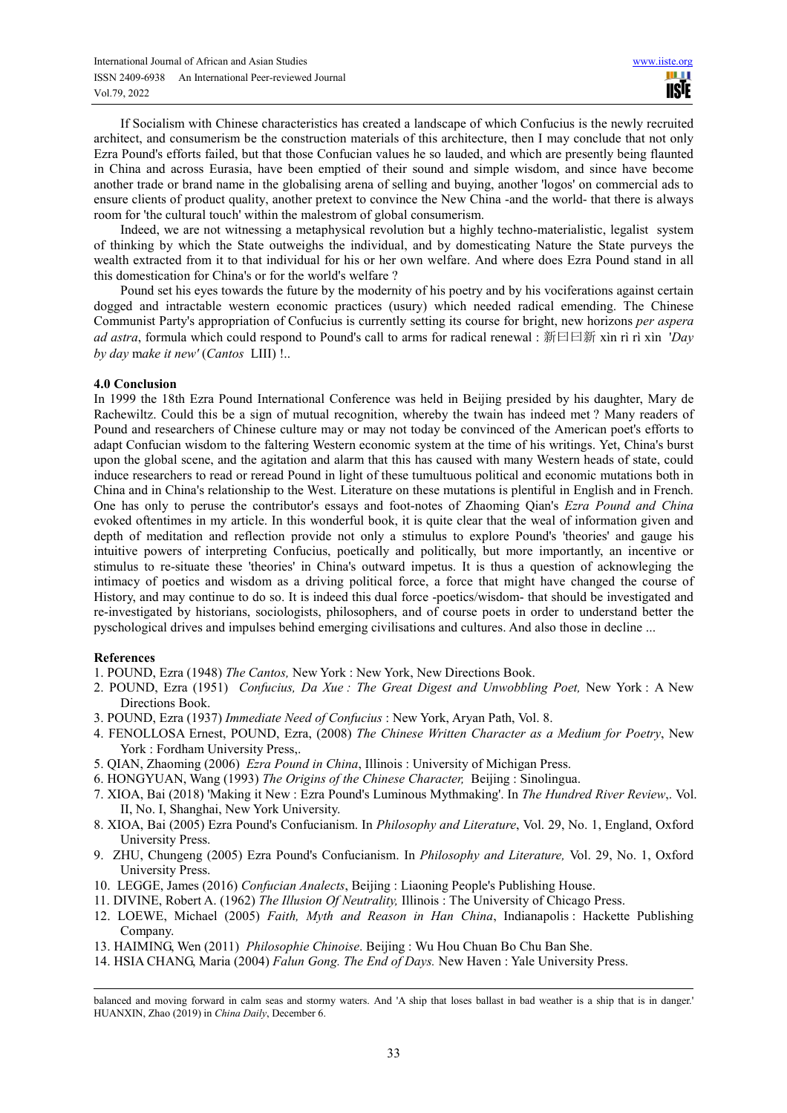If Socialism with Chinese characteristics has created a landscape of which Confucius is the newly recruited architect, and consumerism be the construction materials of this architecture, then I may conclude that not only Ezra Pound's efforts failed, but that those Confucian values he so lauded, and which are presently being flaunted in China and across Eurasia, have been emptied of their sound and simple wisdom, and since have become another trade or brand name in the globalising arena of selling and buying, another 'logos' on commercial ads to ensure clients of product quality, another pretext to convince the New China -and the world- that there is always room for 'the cultural touch' within the malestrom of global consumerism.

Indeed, we are not witnessing a metaphysical revolution but a highly techno-materialistic, legalist system of thinking by which the State outweighs the individual, and by domesticating Nature the State purveys the wealth extracted from it to that individual for his or her own welfare. And where does Ezra Pound stand in all this domestication for China's or for the world's welfare ?

Pound set his eyes towards the future by the modernity of his poetry and by his vociferations against certain dogged and intractable western economic practices (usury) which needed radical emending. The Chinese Communist Party's appropriation of Confucius is currently setting its course for bright, new horizons *per aspera ad astra*, formula which could respond to Pound's call to arms for radical renewal : 新曰曰新 xìn rì rì xìn '*Day by day* m*ake it new'* (*Cantos* LIII) !..

## **4.0 Conclusion**

In 1999 the 18th Ezra Pound International Conference was held in Beijing presided by his daughter, Mary de Rachewiltz. Could this be a sign of mutual recognition, whereby the twain has indeed met ? Many readers of Pound and researchers of Chinese culture may or may not today be convinced of the American poet's efforts to adapt Confucian wisdom to the faltering Western economic system at the time of his writings. Yet, China's burst upon the global scene, and the agitation and alarm that this has caused with many Western heads of state, could induce researchers to read or reread Pound in light of these tumultuous political and economic mutations both in China and in China's relationship to the West. Literature on these mutations is plentiful in English and in French. One has only to peruse the contributor's essays and foot-notes of Zhaoming Qian's *Ezra Pound and China* evoked oftentimes in my article. In this wonderful book, it is quite clear that the weal of information given and depth of meditation and reflection provide not only a stimulus to explore Pound's 'theories' and gauge his intuitive powers of interpreting Confucius, poetically and politically, but more importantly, an incentive or stimulus to re-situate these 'theories' in China's outward impetus. It is thus a question of acknowleging the intimacy of poetics and wisdom as a driving political force, a force that might have changed the course of History, and may continue to do so. It is indeed this dual force -poetics/wisdom- that should be investigated and re-investigated by historians, sociologists, philosophers, and of course poets in order to understand better the pyschological drives and impulses behind emerging civilisations and cultures. And also those in decline ...

# **References**

- 1. POUND, Ezra (1948) *The Cantos,* New York : New York, New Directions Book.
- 2. POUND, Ezra (1951) *Confucius, Da Xue : The Great Digest and Unwobbling Poet,* New York : A New Directions Book.
- 3. POUND, Ezra (1937) *Immediate Need of Confucius* : New York, Aryan Path, Vol. 8.
- 4. FENOLLOSA Ernest, POUND, Ezra, (2008) *The Chinese Written Character as a Medium for Poetry*, New York : Fordham University Press,.
- 5. QIAN, Zhaoming (2006) *Ezra Pound in China*, Illinois : University of Michigan Press.
- 6. HONGYUAN, Wang (1993) *The Origins of the Chinese Character,* Beijing : Sinolingua.
- 7. XIOA, Bai (2018) 'Making it New : Ezra Pound's Luminous Mythmaking'. In *The Hundred River Review*,. Vol. II, No. I, Shanghai, New York University.
- 8. XIOA, Bai (2005) Ezra Pound's Confucianism. In *Philosophy and Literature*, Vol. 29, No. 1, England, Oxford University Press.
- 9. ZHU, Chungeng (2005) Ezra Pound's Confucianism. In *Philosophy and Literature,* Vol. 29, No. 1, Oxford University Press.
- 10. LEGGE, James (2016) *Confucian Analects*, Beijing : Liaoning People's Publishing House.
- 11. DIVINE, Robert A. (1962) *The Illusion Of Neutrality,* Illinois : The University of Chicago Press.
- 12. LOEWE, Michael (2005) *Faith, Myth and Reason in Han China*, Indianapolis : Hackette Publishing Company.
- 13. HAIMING, Wen (2011) *Philosophie Chinoise*. Beijing : Wu Hou Chuan Bo Chu Ban She.
- 14. HSIA CHANG, Maria (2004) *Falun Gong. The End of Days.* New Haven : Yale University Press.

balanced and moving forward in calm seas and stormy waters. And 'A ship that loses ballast in bad weather is a ship that is in danger.' HUANXIN, Zhao (2019) in *China Daily*, December 6.